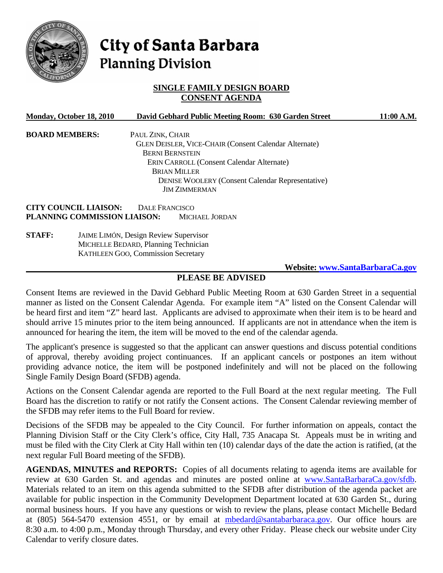

# City of Santa Barbara **Planning Division**

# **SINGLE FAMILY DESIGN BOARD CONSENT AGENDA**

|                       | Monday, October 18, 2010                     |                  | David Gebhard Public Meeting Room: 630 Garden Street         |  | 11:00 A.M. |  |
|-----------------------|----------------------------------------------|------------------|--------------------------------------------------------------|--|------------|--|
| <b>BOARD MEMBERS:</b> |                                              | PAUL ZINK, CHAIR |                                                              |  |            |  |
|                       |                                              |                  | <b>GLEN DEISLER, VICE-CHAIR (Consent Calendar Alternate)</b> |  |            |  |
|                       |                                              |                  | <b>BERNI BERNSTEIN</b>                                       |  |            |  |
|                       |                                              |                  | <b>ERIN CARROLL (Consent Calendar Alternate)</b>             |  |            |  |
|                       |                                              |                  | <b>BRIAN MILLER</b>                                          |  |            |  |
|                       |                                              |                  | <b>DENISE WOOLERY (Consent Calendar Representative)</b>      |  |            |  |
|                       |                                              |                  | <b>JIM ZIMMERMAN</b>                                         |  |            |  |
|                       | <b>CITY COUNCIL LIAISON:</b>                 | DALE FRANCISCO   |                                                              |  |            |  |
|                       | PLANNING COMMISSION LIAISON:                 |                  | MICHAEL JORDAN                                               |  |            |  |
| <b>STAFF:</b>         | <b>JAIME LIMÓN, Design Review Supervisor</b> |                  |                                                              |  |            |  |
|                       | MICHELLE BEDARD, Planning Technician         |                  |                                                              |  |            |  |
|                       | <b>KATHLEEN GOO, Commission Secretary</b>    |                  |                                                              |  |            |  |
|                       |                                              |                  |                                                              |  |            |  |

#### **Website: [www.SantaBarbaraCa.gov](http://www.santabarbaraca.gov/)**

# **PLEASE BE ADVISED**

Consent Items are reviewed in the David Gebhard Public Meeting Room at 630 Garden Street in a sequential manner as listed on the Consent Calendar Agenda. For example item "A" listed on the Consent Calendar will be heard first and item "Z" heard last. Applicants are advised to approximate when their item is to be heard and should arrive 15 minutes prior to the item being announced. If applicants are not in attendance when the item is announced for hearing the item, the item will be moved to the end of the calendar agenda.

The applicant's presence is suggested so that the applicant can answer questions and discuss potential conditions of approval, thereby avoiding project continuances. If an applicant cancels or postpones an item without providing advance notice, the item will be postponed indefinitely and will not be placed on the following Single Family Design Board (SFDB) agenda.

Actions on the Consent Calendar agenda are reported to the Full Board at the next regular meeting. The Full Board has the discretion to ratify or not ratify the Consent actions. The Consent Calendar reviewing member of the SFDB may refer items to the Full Board for review.

Decisions of the SFDB may be appealed to the City Council. For further information on appeals, contact the Planning Division Staff or the City Clerk's office, City Hall, 735 Anacapa St. Appeals must be in writing and must be filed with the City Clerk at City Hall within ten (10) calendar days of the date the action is ratified, (at the next regular Full Board meeting of the SFDB).

**AGENDAS, MINUTES and REPORTS:** Copies of all documents relating to agenda items are available for review at 630 Garden St. and agendas and minutes are posted online at [www.SantaBarbaraCa.gov/sfdb.](http://www.santabarbaraca.gov/sfdb) Materials related to an item on this agenda submitted to the SFDB after distribution of the agenda packet are available for public inspection in the Community Development Department located at 630 Garden St., during normal business hours. If you have any questions or wish to review the plans, please contact Michelle Bedard at (805) 564-5470 extension 4551, or by email at [mbedard@santabarbaraca.gov](mailto:mbedard@santabarbaraca.gov). Our office hours are 8:30 a.m. to 4:00 p.m., Monday through Thursday, and every other Friday. Please check our website under City Calendar to verify closure dates.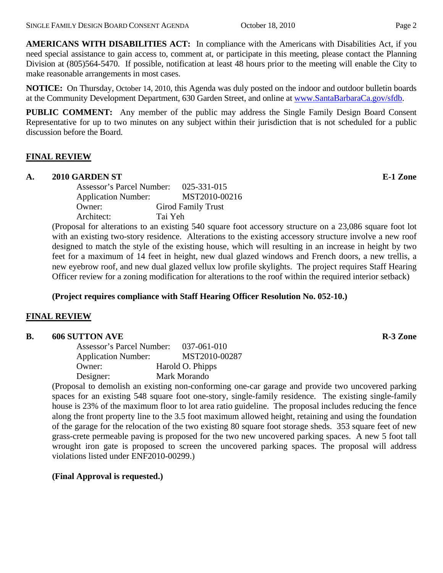**AMERICANS WITH DISABILITIES ACT:** In compliance with the Americans with Disabilities Act, if you need special assistance to gain access to, comment at, or participate in this meeting, please contact the Planning Division at (805)564-5470. If possible, notification at least 48 hours prior to the meeting will enable the City to make reasonable arrangements in most cases.

**NOTICE:** On Thursday, October 14, 2010, this Agenda was duly posted on the indoor and outdoor bulletin boards at the Community Development Department, 630 Garden Street, and online at [www.SantaBarbaraCa.gov/sfdb](http://www.santabarbaraca.gov/sfdb).

**PUBLIC COMMENT:** Any member of the public may address the Single Family Design Board Consent Representative for up to two minutes on any subject within their jurisdiction that is not scheduled for a public discussion before the Board.

## **FINAL REVIEW**

#### **A. 2010 GARDEN ST E-1 Zone**

| Assessor's Parcel Number:  | $025 - 331 - 015$         |
|----------------------------|---------------------------|
| <b>Application Number:</b> | MST2010-00216             |
| Owner:                     | <b>Girod Family Trust</b> |
| Architect:                 | Tai Yeh                   |
|                            |                           |

(Proposal for alterations to an existing 540 square foot accessory structure on a 23,086 square foot lot with an existing two-story residence. Alterations to the existing accessory structure involve a new roof designed to match the style of the existing house, which will resulting in an increase in height by two feet for a maximum of 14 feet in height, new dual glazed windows and French doors, a new trellis, a new eyebrow roof, and new dual glazed vellux low profile skylights. The project requires Staff Hearing Officer review for a zoning modification for alterations to the roof within the required interior setback)

# **(Project requires compliance with Staff Hearing Officer Resolution No. 052-10.)**

# **FINAL REVIEW**

#### **B.** 606 SUTTON AVE **R-3** Zone

| Assessor's Parcel Number:  | 037-061-010      |
|----------------------------|------------------|
| <b>Application Number:</b> | MST2010-00287    |
| Owner:                     | Harold O. Phipps |
| Designer:                  | Mark Morando     |

(Proposal to demolish an existing non-conforming one-car garage and provide two uncovered parking spaces for an existing 548 square foot one-story, single-family residence. The existing single-family house is 23% of the maximum floor to lot area ratio guideline. The proposal includes reducing the fence along the front property line to the 3.5 foot maximum allowed height, retaining and using the foundation of the garage for the relocation of the two existing 80 square foot storage sheds. 353 square feet of new grass-crete permeable paving is proposed for the two new uncovered parking spaces. A new 5 foot tall wrought iron gate is proposed to screen the uncovered parking spaces. The proposal will address violations listed under ENF2010-00299.)

#### **(Final Approval is requested.)**